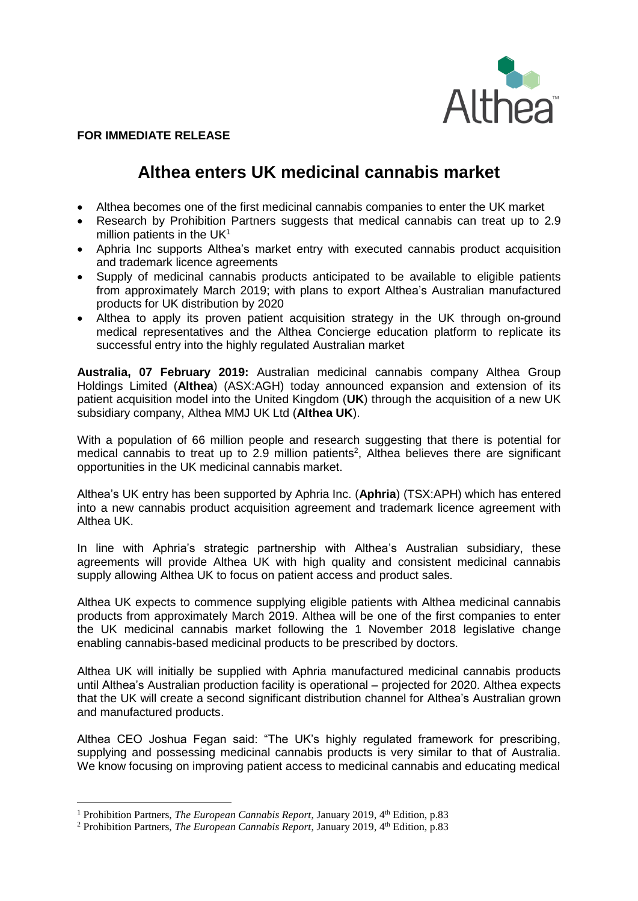

## **FOR IMMEDIATE RELEASE**

# **Althea enters UK medicinal cannabis market**

- Althea becomes one of the first medicinal cannabis companies to enter the UK market
- Research by Prohibition Partners suggests that medical cannabis can treat up to 2.9 million patients in the  $UK<sup>1</sup>$
- Aphria Inc supports Althea's market entry with executed cannabis product acquisition and trademark licence agreements
- Supply of medicinal cannabis products anticipated to be available to eligible patients from approximately March 2019; with plans to export Althea's Australian manufactured products for UK distribution by 2020
- Althea to apply its proven patient acquisition strategy in the UK through on-ground medical representatives and the Althea Concierge education platform to replicate its successful entry into the highly regulated Australian market

**Australia, 07 February 2019:** Australian medicinal cannabis company Althea Group Holdings Limited (**Althea**) (ASX:AGH) today announced expansion and extension of its patient acquisition model into the United Kingdom (**UK**) through the acquisition of a new UK subsidiary company, Althea MMJ UK Ltd (**Althea UK**).

With a population of 66 million people and research suggesting that there is potential for medical cannabis to treat up to 2.9 million patients<sup>2</sup>, Althea believes there are significant opportunities in the UK medicinal cannabis market.

Althea's UK entry has been supported by Aphria Inc. (**Aphria**) (TSX:APH) which has entered into a new cannabis product acquisition agreement and trademark licence agreement with Althea UK.

In line with Aphria's strategic partnership with Althea's Australian subsidiary, these agreements will provide Althea UK with high quality and consistent medicinal cannabis supply allowing Althea UK to focus on patient access and product sales.

Althea UK expects to commence supplying eligible patients with Althea medicinal cannabis products from approximately March 2019. Althea will be one of the first companies to enter the UK medicinal cannabis market following the 1 November 2018 legislative change enabling cannabis-based medicinal products to be prescribed by doctors.

Althea UK will initially be supplied with Aphria manufactured medicinal cannabis products until Althea's Australian production facility is operational – projected for 2020. Althea expects that the UK will create a second significant distribution channel for Althea's Australian grown and manufactured products.

Althea CEO Joshua Fegan said: "The UK's highly regulated framework for prescribing, supplying and possessing medicinal cannabis products is very similar to that of Australia. We know focusing on improving patient access to medicinal cannabis and educating medical

<u>.</u>

<sup>&</sup>lt;sup>1</sup> Prohibition Partners, *The European Cannabis Report*, January 2019, 4<sup>th</sup> Edition, p.83

<sup>&</sup>lt;sup>2</sup> Prohibition Partners, *The European Cannabis Report*, January 2019, 4<sup>th</sup> Edition, p.83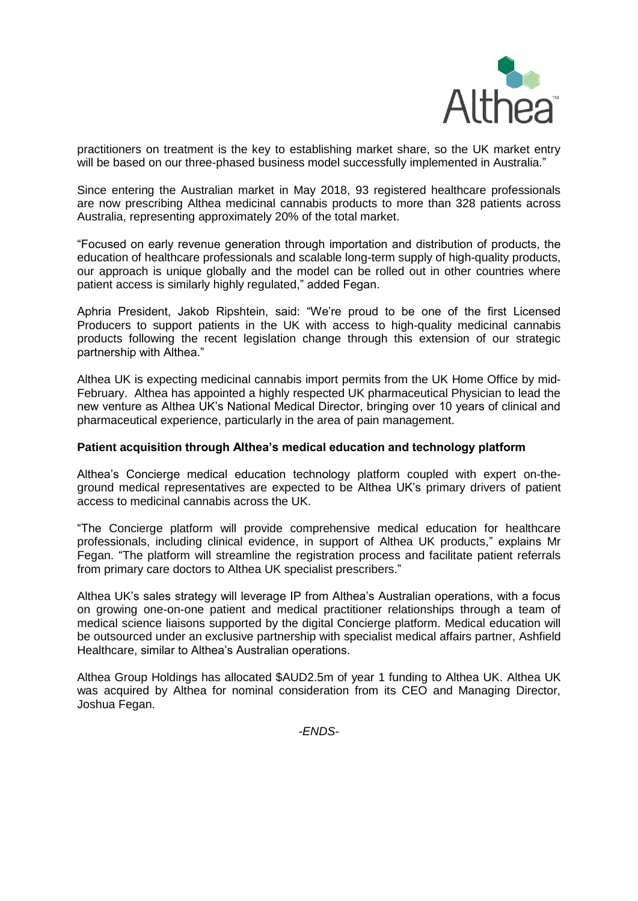

practitioners on treatment is the key to establishing market share, so the UK market entry will be based on our three-phased business model successfully implemented in Australia."

Since entering the Australian market in May 2018, 93 registered healthcare professionals are now prescribing Althea medicinal cannabis products to more than 328 patients across Australia, representing approximately 20% of the total market.

"Focused on early revenue generation through importation and distribution of products, the education of healthcare professionals and scalable long-term supply of high-quality products, our approach is unique globally and the model can be rolled out in other countries where patient access is similarly highly regulated," added Fegan.

Aphria President, Jakob Ripshtein, said: "We're proud to be one of the first Licensed Producers to support patients in the UK with access to high-quality medicinal cannabis products following the recent legislation change through this extension of our strategic partnership with Althea."

Althea UK is expecting medicinal cannabis import permits from the UK Home Office by mid-February. Althea has appointed a highly respected UK pharmaceutical Physician to lead the new venture as Althea UK's National Medical Director, bringing over 10 years of clinical and pharmaceutical experience, particularly in the area of pain management.

## **Patient acquisition through Althea's medical education and technology platform**

Althea's Concierge medical education technology platform coupled with expert on-theground medical representatives are expected to be Althea UK's primary drivers of patient access to medicinal cannabis across the UK.

"The Concierge platform will provide comprehensive medical education for healthcare professionals, including clinical evidence, in support of Althea UK products," explains Mr Fegan. "The platform will streamline the registration process and facilitate patient referrals from primary care doctors to Althea UK specialist prescribers."

Althea UK's sales strategy will leverage IP from Althea's Australian operations, with a focus on growing one-on-one patient and medical practitioner relationships through a team of medical science liaisons supported by the digital Concierge platform. Medical education will be outsourced under an exclusive partnership with specialist medical affairs partner, Ashfield Healthcare, similar to Althea's Australian operations.

Althea Group Holdings has allocated \$AUD2.5m of year 1 funding to Althea UK. Althea UK was acquired by Althea for nominal consideration from its CEO and Managing Director, Joshua Fegan.

*-ENDS-*